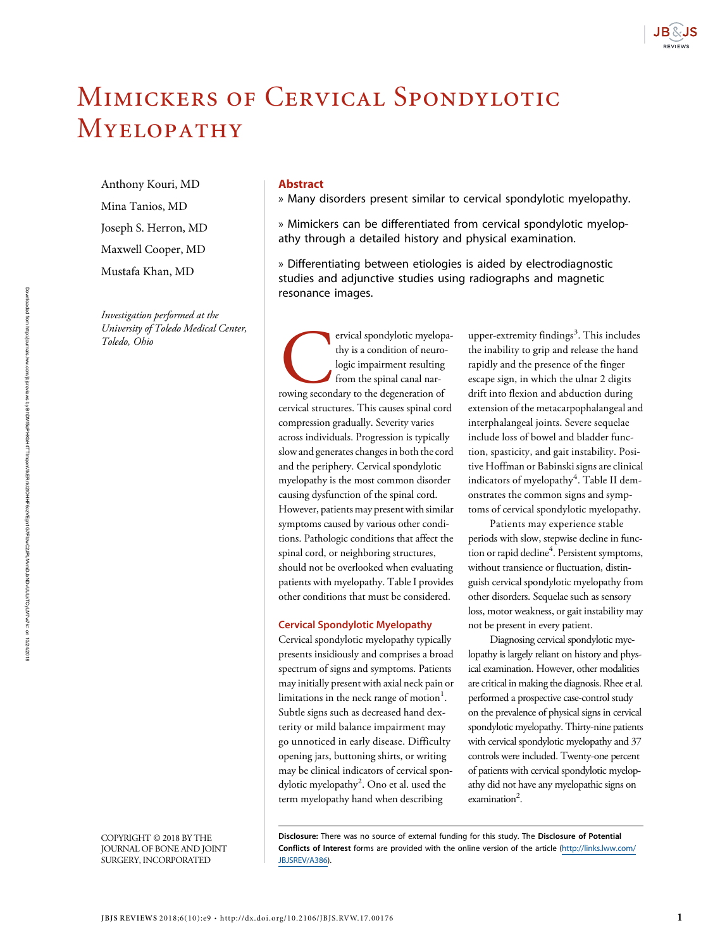

# Mimickers of Cervical Spondylotic **MYELOPATHY**

Anthony Kouri, MD Mina Tanios, MD Joseph S. Herron, MD Maxwell Cooper, MD Mustafa Khan, MD

Investigation performed at the University of Toledo Medical Center, Toledo, Ohio

COPYRIGHT © 2018 BY THE JOURNAL OF BONE AND JOINT SURGERY, INCORPORATED

#### Abstract

» Many disorders present similar to cervical spondylotic myelopathy.

» Mimickers can be differentiated from cervical spondylotic myelopathy through a detailed history and physical examination.

» Differentiating between etiologies is aided by electrodiagnostic studies and adjunctive studies using radiographs and magnetic resonance images.

ervical spondylotic myelopa-<br>thy is a condition of neuro-<br>logic impairment resulting<br>from the spinal canal nar-<br>rowing secondary to the degeneration of thy is a condition of neurologic impairment resulting from the spinal canal narcervical structures. This causes spinal cord compression gradually. Severity varies across individuals. Progression is typically slow and generates changes in both the cord and the periphery. Cervical spondylotic myelopathy is the most common disorder causing dysfunction of the spinal cord. However, patients may present with similar symptoms caused by various other conditions. Pathologic conditions that affect the spinal cord, or neighboring structures, should not be overlooked when evaluating patients with myelopathy. Table I provides other conditions that must be considered.

## Cervical Spondylotic Myelopathy

Cervical spondylotic myelopathy typically presents insidiously and comprises a broad spectrum of signs and symptoms. Patients may initially present with axial neck pain or limitations in the neck range of motion $^1$ . Subtle signs such as decreased hand dexterity or mild balance impairment may go unnoticed in early disease. Difficulty opening jars, buttoning shirts, or writing may be clinical indicators of cervical spondylotic myelopathy<sup>2</sup>. Ono et al. used the term myelopathy hand when describing

upper-extremity findings<sup>3</sup>. This includes the inability to grip and release the hand rapidly and the presence of the finger escape sign, in which the ulnar 2 digits drift into flexion and abduction during extension of the metacarpophalangeal and interphalangeal joints. Severe sequelae include loss of bowel and bladder function, spasticity, and gait instability. Positive Hoffman or Babinski signs are clinical indicators of myelopathy<sup>4</sup>. Table II demonstrates the common signs and symptoms of cervical spondylotic myelopathy.

Patients may experience stable periods with slow, stepwise decline in function or rapid decline<sup>4</sup>. Persistent symptoms, without transience or fluctuation, distinguish cervical spondylotic myelopathy from other disorders. Sequelae such as sensory loss, motor weakness, or gait instability may not be present in every patient.

Diagnosing cervical spondylotic myelopathy is largely reliant on history and physical examination. However, other modalities are critical in making the diagnosis. Rhee et al. performed a prospective case-control study on the prevalence of physical signs in cervical spondylotic myelopathy. Thirty-nine patients with cervical spondylotic myelopathy and 37 controls were included. Twenty-one percent of patients with cervical spondylotic myelopathy did not have any myelopathic signs on examination<sup>2</sup>.

Disclosure: There was no source of external funding for this study. The Disclosure of Potential Conflicts of Interest forms are provided with the online version of the article ([http://links.lww.com/](http://links.lww.com/JBJSREV/A386) [JBJSREV/A386](http://links.lww.com/JBJSREV/A386)).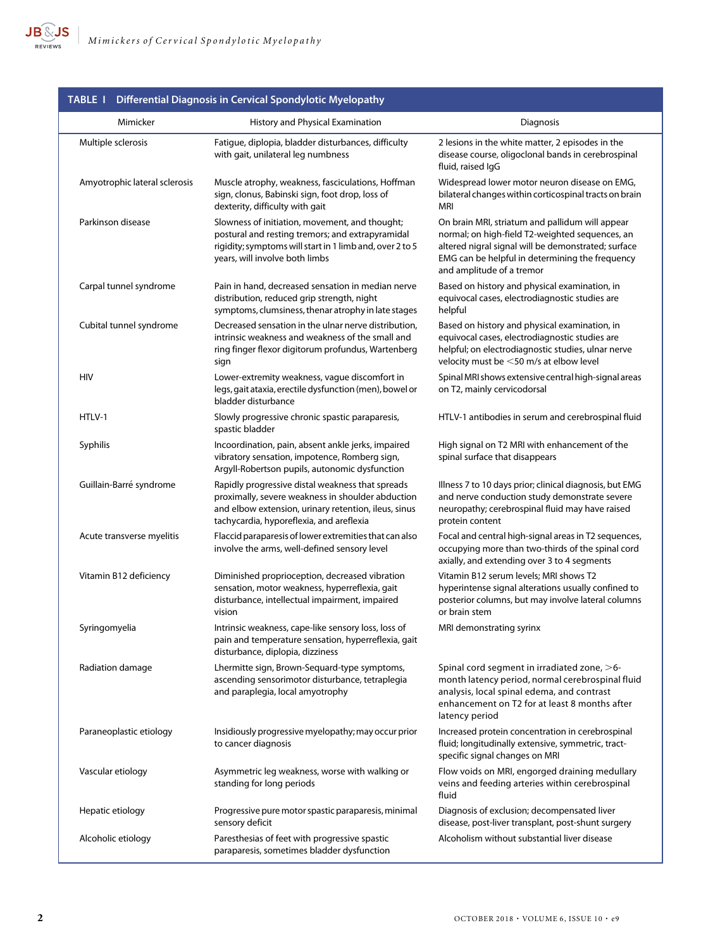

| TABLE I Differential Diagnosis in Cervical Spondylotic Myelopathy |                                                                                                                                                                                                           |                                                                                                                                                                                                                                           |  |  |
|-------------------------------------------------------------------|-----------------------------------------------------------------------------------------------------------------------------------------------------------------------------------------------------------|-------------------------------------------------------------------------------------------------------------------------------------------------------------------------------------------------------------------------------------------|--|--|
| Mimicker                                                          | History and Physical Examination                                                                                                                                                                          | Diagnosis                                                                                                                                                                                                                                 |  |  |
| Multiple sclerosis                                                | Fatigue, diplopia, bladder disturbances, difficulty<br>with gait, unilateral leg numbness                                                                                                                 | 2 lesions in the white matter, 2 episodes in the<br>disease course, oligoclonal bands in cerebrospinal<br>fluid, raised IgG                                                                                                               |  |  |
| Amyotrophic lateral sclerosis                                     | Muscle atrophy, weakness, fasciculations, Hoffman<br>sign, clonus, Babinski sign, foot drop, loss of<br>dexterity, difficulty with gait                                                                   | Widespread lower motor neuron disease on EMG,<br>bilateral changes within corticospinal tracts on brain<br>MRI                                                                                                                            |  |  |
| Parkinson disease                                                 | Slowness of initiation, movement, and thought;<br>postural and resting tremors; and extrapyramidal<br>rigidity; symptoms will start in 1 limb and, over 2 to 5<br>years, will involve both limbs          | On brain MRI, striatum and pallidum will appear<br>normal; on high-field T2-weighted sequences, an<br>altered nigral signal will be demonstrated; surface<br>EMG can be helpful in determining the frequency<br>and amplitude of a tremor |  |  |
| Carpal tunnel syndrome                                            | Pain in hand, decreased sensation in median nerve<br>distribution, reduced grip strength, night<br>symptoms, clumsiness, thenar atrophy in late stages                                                    | Based on history and physical examination, in<br>equivocal cases, electrodiagnostic studies are<br>helpful                                                                                                                                |  |  |
| Cubital tunnel syndrome                                           | Decreased sensation in the ulnar nerve distribution,<br>intrinsic weakness and weakness of the small and<br>ring finger flexor digitorum profundus, Wartenberg<br>sign                                    | Based on history and physical examination, in<br>equivocal cases, electrodiagnostic studies are<br>helpful; on electrodiagnostic studies, ulnar nerve<br>velocity must be <50 m/s at elbow level                                          |  |  |
| HIV                                                               | Lower-extremity weakness, vague discomfort in<br>legs, gait ataxia, erectile dysfunction (men), bowel or<br>bladder disturbance                                                                           | Spinal MRI shows extensive central high-signal areas<br>on T2, mainly cervicodorsal                                                                                                                                                       |  |  |
| HTLV-1                                                            | Slowly progressive chronic spastic paraparesis,<br>spastic bladder                                                                                                                                        | HTLV-1 antibodies in serum and cerebrospinal fluid                                                                                                                                                                                        |  |  |
| Syphilis                                                          | Incoordination, pain, absent ankle jerks, impaired<br>vibratory sensation, impotence, Romberg sign,<br>Argyll-Robertson pupils, autonomic dysfunction                                                     | High signal on T2 MRI with enhancement of the<br>spinal surface that disappears                                                                                                                                                           |  |  |
| Guillain-Barré syndrome                                           | Rapidly progressive distal weakness that spreads<br>proximally, severe weakness in shoulder abduction<br>and elbow extension, urinary retention, ileus, sinus<br>tachycardia, hyporeflexia, and areflexia | Illness 7 to 10 days prior; clinical diagnosis, but EMG<br>and nerve conduction study demonstrate severe<br>neuropathy; cerebrospinal fluid may have raised<br>protein content                                                            |  |  |
| Acute transverse myelitis                                         | Flaccid paraparesis of lower extremities that can also<br>involve the arms, well-defined sensory level                                                                                                    | Focal and central high-signal areas in T2 sequences,<br>occupying more than two-thirds of the spinal cord<br>axially, and extending over 3 to 4 segments                                                                                  |  |  |
| Vitamin B12 deficiency                                            | Diminished proprioception, decreased vibration<br>sensation, motor weakness, hyperreflexia, gait<br>disturbance, intellectual impairment, impaired<br>vision                                              | Vitamin B12 serum levels; MRI shows T2<br>hyperintense signal alterations usually confined to<br>posterior columns, but may involve lateral columns<br>or brain stem                                                                      |  |  |
| Syringomyelia                                                     | Intrinsic weakness, cape-like sensory loss, loss of<br>pain and temperature sensation, hyperreflexia, gait<br>disturbance, diplopia, dizziness                                                            | MRI demonstrating syrinx                                                                                                                                                                                                                  |  |  |
| Radiation damage                                                  | Lhermitte sign, Brown-Sequard-type symptoms,<br>ascending sensorimotor disturbance, tetraplegia<br>and paraplegia, local amyotrophy                                                                       | Spinal cord segment in irradiated zone, >6-<br>month latency period, normal cerebrospinal fluid<br>analysis, local spinal edema, and contrast<br>enhancement on T2 for at least 8 months after<br>latency period                          |  |  |
| Paraneoplastic etiology                                           | Insidiously progressive myelopathy; may occur prior<br>to cancer diagnosis                                                                                                                                | Increased protein concentration in cerebrospinal<br>fluid; longitudinally extensive, symmetric, tract-<br>specific signal changes on MRI                                                                                                  |  |  |
| Vascular etiology                                                 | Asymmetric leg weakness, worse with walking or<br>standing for long periods                                                                                                                               | Flow voids on MRI, engorged draining medullary<br>veins and feeding arteries within cerebrospinal<br>fluid                                                                                                                                |  |  |
| Hepatic etiology                                                  | Progressive pure motor spastic paraparesis, minimal<br>sensory deficit                                                                                                                                    | Diagnosis of exclusion; decompensated liver<br>disease, post-liver transplant, post-shunt surgery                                                                                                                                         |  |  |
| Alcoholic etiology                                                | Paresthesias of feet with progressive spastic<br>paraparesis, sometimes bladder dysfunction                                                                                                               | Alcoholism without substantial liver disease                                                                                                                                                                                              |  |  |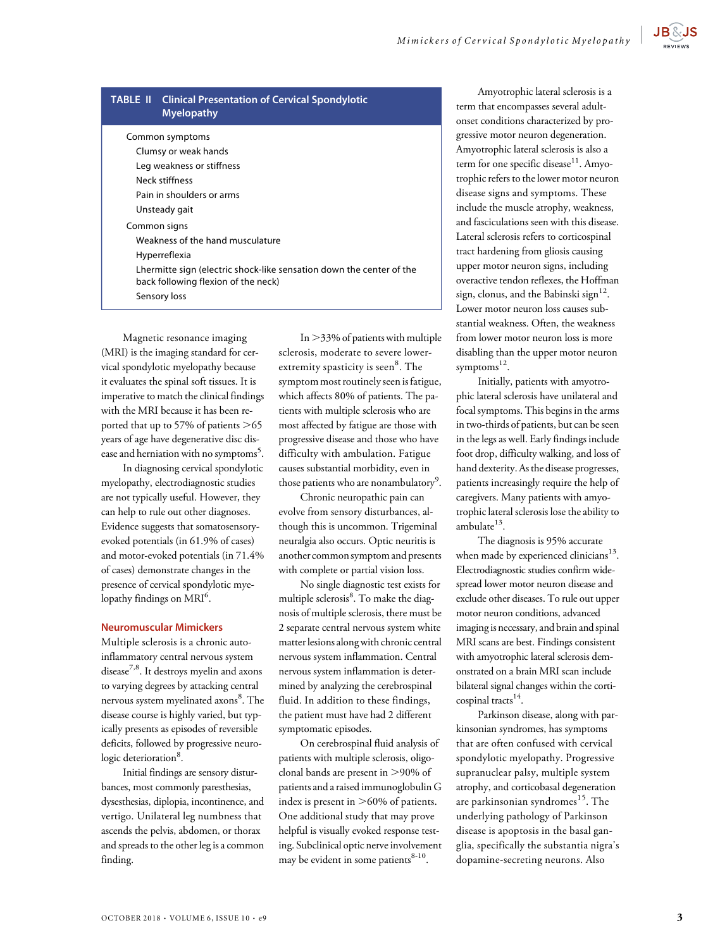

|              | <b>TABLE II Clinical Presentation of Cervical Spondylotic</b><br><b>Myelopathy</b>                          |
|--------------|-------------------------------------------------------------------------------------------------------------|
|              | Common symptoms                                                                                             |
|              | Clumsy or weak hands                                                                                        |
|              | Leg weakness or stiffness                                                                                   |
|              | Neck stiffness                                                                                              |
|              | Pain in shoulders or arms                                                                                   |
|              | Unsteady gait                                                                                               |
| Common signs |                                                                                                             |
|              | Weakness of the hand musculature                                                                            |
|              | Hyperreflexia                                                                                               |
|              | Lhermitte sign (electric shock-like sensation down the center of the<br>back following flexion of the neck) |
|              | Sensory loss                                                                                                |

Magnetic resonance imaging (MRI) is the imaging standard for cervical spondylotic myelopathy because it evaluates the spinal soft tissues. It is imperative to match the clinical findings with the MRI because it has been reported that up to 57% of patients  $>$  65 years of age have degenerative disc disease and herniation with no symptoms<sup>5</sup>.

In diagnosing cervical spondylotic myelopathy, electrodiagnostic studies are not typically useful. However, they can help to rule out other diagnoses. Evidence suggests that somatosensoryevoked potentials (in 61.9% of cases) and motor-evoked potentials (in 71.4% of cases) demonstrate changes in the presence of cervical spondylotic myelopathy findings on MRI<sup>6</sup>.

## Neuromuscular Mimickers

Multiple sclerosis is a chronic autoinflammatory central nervous system disease<sup>7,8</sup>. It destroys myelin and axons to varying degrees by attacking central nervous system myelinated axons<sup>8</sup>. The disease course is highly varied, but typically presents as episodes of reversible deficits, followed by progressive neurologic deterioration<sup>8</sup>.

Initial findings are sensory disturbances, most commonly paresthesias, dysesthesias, diplopia, incontinence, and vertigo. Unilateral leg numbness that ascends the pelvis, abdomen, or thorax and spreads to the other leg is a common finding.

In  $>$ 33% of patients with multiple sclerosis, moderate to severe lowerextremity spasticity is seen<sup>8</sup>. The symptom most routinely seen isfatigue, which affects 80% of patients. The patients with multiple sclerosis who are most affected by fatigue are those with progressive disease and those who have difficulty with ambulation. Fatigue causes substantial morbidity, even in those patients who are nonambulatory $^9$ .

Chronic neuropathic pain can evolve from sensory disturbances, although this is uncommon. Trigeminal neuralgia also occurs. Optic neuritis is another common symptom and presents with complete or partial vision loss.

No single diagnostic test exists for multiple sclerosis<sup>8</sup>. To make the diagnosis of multiple sclerosis, there must be 2 separate central nervous system white matter lesions along with chronic central nervous system inflammation. Central nervous system inflammation is determined by analyzing the cerebrospinal fluid. In addition to these findings, the patient must have had 2 different symptomatic episodes.

On cerebrospinal fluid analysis of patients with multiple sclerosis, oligoclonal bands are present in >90% of patients and a raised immunoglobulin G index is present in  $>60\%$  of patients. One additional study that may prove helpful is visually evoked response testing. Subclinical optic nerve involvement may be evident in some patients $8-10$ .

Amyotrophic lateral sclerosis is a term that encompasses several adultonset conditions characterized by progressive motor neuron degeneration. Amyotrophic lateral sclerosis is also a term for one specific disease $^{11}$ . Amyotrophic refers to the lower motor neuron disease signs and symptoms. These include the muscle atrophy, weakness, and fasciculations seen with this disease. Lateral sclerosis refers to corticospinal tract hardening from gliosis causing upper motor neuron signs, including overactive tendon reflexes, the Hoffman sign, clonus, and the Babinski sign<sup>12</sup>. Lower motor neuron loss causes substantial weakness. Often, the weakness from lower motor neuron loss is more disabling than the upper motor neuron symptoms $^{12}$ .

Initially, patients with amyotrophic lateral sclerosis have unilateral and focal symptoms. This begins in the arms in two-thirds of patients, but can be seen in the legs as well. Early findings include foot drop, difficulty walking, and loss of hand dexterity. As the disease progresses, patients increasingly require the help of caregivers. Many patients with amyotrophic lateral sclerosis lose the ability to ambulate $13$ .

The diagnosis is 95% accurate when made by experienced clinicians $13$ . Electrodiagnostic studies confirm widespread lower motor neuron disease and exclude other diseases. To rule out upper motor neuron conditions, advanced imaging is necessary, and brain and spinal MRI scans are best. Findings consistent with amyotrophic lateral sclerosis demonstrated on a brain MRI scan include bilateral signal changes within the corticospinal tracts $14$ .

Parkinson disease, along with parkinsonian syndromes, has symptoms that are often confused with cervical spondylotic myelopathy. Progressive supranuclear palsy, multiple system atrophy, and corticobasal degeneration are parkinsonian syndromes<sup>15</sup>. The underlying pathology of Parkinson disease is apoptosis in the basal ganglia, specifically the substantia nigra's dopamine-secreting neurons. Also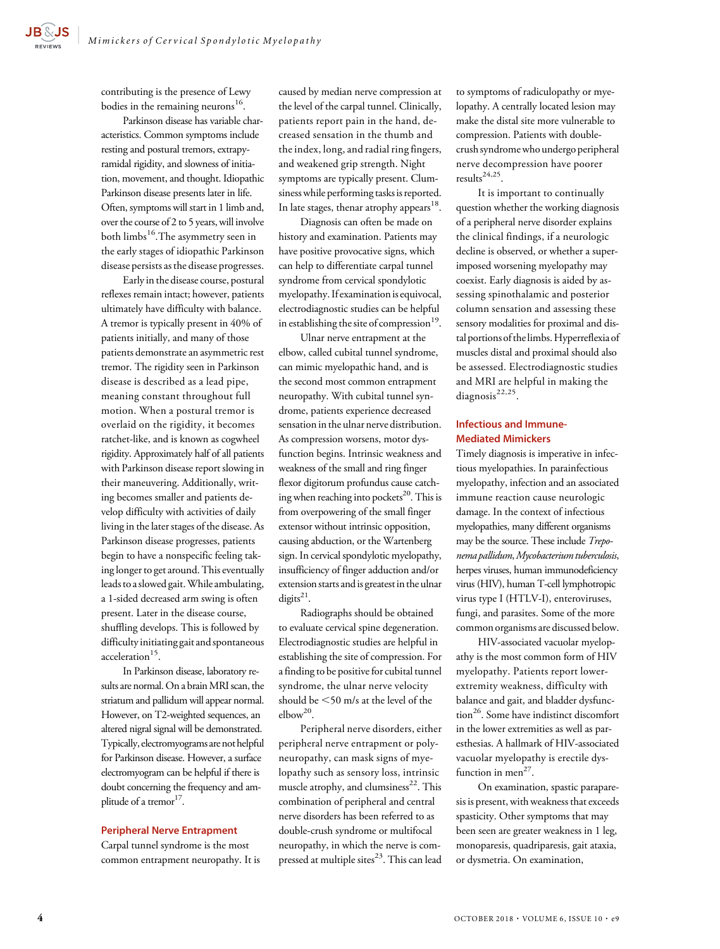contributing is the presence of Lewy bodies in the remaining neurons $^{16}$ .

 $\mathsf{JB}\widehat{\otimes}\mathsf{JS}$ 

Parkinson disease has variable characteristics. Common symptoms include resting and postural tremors, extrapyramidal rigidity, and slowness of initiation, movement, and thought. Idiopathic Parkinson disease presents later in life. Often, symptoms will start in 1 limb and, over the course of 2 to 5 years, will involve both limbs<sup>16</sup>. The asymmetry seen in the early stages of idiopathic Parkinson disease persists as the disease progresses.

Early in the disease course, postural reflexes remain intact; however, patients ultimately have difficulty with balance. A tremor is typically present in 40% of patients initially, and many of those patients demonstrate an asymmetric rest tremor. The rigidity seen in Parkinson disease is described as a lead pipe, meaning constant throughout full motion. When a postural tremor is overlaid on the rigidity, it becomes ratchet-like, and is known as cogwheel rigidity. Approximately half of all patients with Parkinson disease report slowing in their maneuvering. Additionally, writing becomes smaller and patients develop difficulty with activities of daily living in the later stages of the disease. As Parkinson disease progresses, patients begin to have a nonspecific feeling taking longer to get around. This eventually leads to a slowed gait.While ambulating, a 1-sided decreased arm swing is often present. Later in the disease course, shuffling develops. This is followed by difficulty initiating gait and spontaneous acceleration<sup>15</sup>.

In Parkinson disease, laboratory results are normal. On a brain MRI scan, the striatum and pallidum will appear normal. However, on T2-weighted sequences, an altered nigral signal will be demonstrated. Typically, electromyograms are not helpful for Parkinson disease. However, a surface electromyogram can be helpful if there is doubt concerning the frequency and amplitude of a tremor<sup>17</sup>.

# Peripheral Nerve Entrapment

Carpal tunnel syndrome is the most common entrapment neuropathy. It is

caused by median nerve compression at the level of the carpal tunnel. Clinically, patients report pain in the hand, decreased sensation in the thumb and the index, long, and radial ring fingers, and weakened grip strength. Night symptoms are typically present. Clumsiness while performing tasks is reported. In late stages, thenar atrophy appears $^{18}$ .

Diagnosis can often be made on history and examination. Patients may have positive provocative signs, which can help to differentiate carpal tunnel syndrome from cervical spondylotic myelopathy. If examination is equivocal, electrodiagnostic studies can be helpful in establishing the site of compression $^{19}$ .

Ulnar nerve entrapment at the elbow, called cubital tunnel syndrome, can mimic myelopathic hand, and is the second most common entrapment neuropathy. With cubital tunnel syndrome, patients experience decreased sensation in the ulnar nerve distribution. As compression worsens, motor dysfunction begins. Intrinsic weakness and weakness of the small and ring finger flexor digitorum profundus cause catching when reaching into pockets $^{20}$ . This is from overpowering of the small finger extensor without intrinsic opposition, causing abduction, or the Wartenberg sign. In cervical spondylotic myelopathy, insufficiency of finger adduction and/or extension starts and is greatest in the ulnar  $divits^{21}$ .

Radiographs should be obtained to evaluate cervical spine degeneration. Electrodiagnostic studies are helpful in establishing the site of compression. For a finding to be positive for cubital tunnel syndrome, the ulnar nerve velocity should be  $<$  50 m/s at the level of the  $\mathrm{elbow}^{20}.$ 

Peripheral nerve disorders, either peripheral nerve entrapment or polyneuropathy, can mask signs of myelopathy such as sensory loss, intrinsic muscle atrophy, and clumsiness $^{22}$ . This combination of peripheral and central nerve disorders has been referred to as double-crush syndrome or multifocal neuropathy, in which the nerve is compressed at multiple sites<sup>23</sup>. This can lead to symptoms of radiculopathy or myelopathy. A centrally located lesion may make the distal site more vulnerable to compression. Patients with doublecrush syndrome who undergo peripheral nerve decompression have poorer results $^{24,25}$ .

It is important to continually question whether the working diagnosis of a peripheral nerve disorder explains the clinical findings, if a neurologic decline is observed, or whether a superimposed worsening myelopathy may coexist. Early diagnosis is aided by assessing spinothalamic and posterior column sensation and assessing these sensory modalities for proximal and distal portions of the limbs. Hyperreflexia of muscles distal and proximal should also be assessed. Electrodiagnostic studies and MRI are helpful in making the diagnosis $22,25$ .

# Infectious and Immune-Mediated Mimickers

Timely diagnosis is imperative in infectious myelopathies. In parainfectious myelopathy, infection and an associated immune reaction cause neurologic damage. In the context of infectious myelopathies, many different organisms may be the source. These include Treponema pallidum, Mycobacterium tuberculosis, herpes viruses, human immunodeficiency virus (HIV), human T-cell lymphotropic virus type I (HTLV-I), enteroviruses, fungi, and parasites. Some of the more common organisms are discussed below.

HIV-associated vacuolar myelopathy is the most common form of HIV myelopathy. Patients report lowerextremity weakness, difficulty with balance and gait, and bladder dysfunction<sup>26</sup>. Some have indistinct discomfort in the lower extremities as well as paresthesias. A hallmark of HIV-associated vacuolar myelopathy is erectile dysfunction in men<sup>27</sup>.

On examination, spastic paraparesis is present, with weakness that exceeds spasticity. Other symptoms that may been seen are greater weakness in 1 leg, monoparesis, quadriparesis, gait ataxia, or dysmetria. On examination,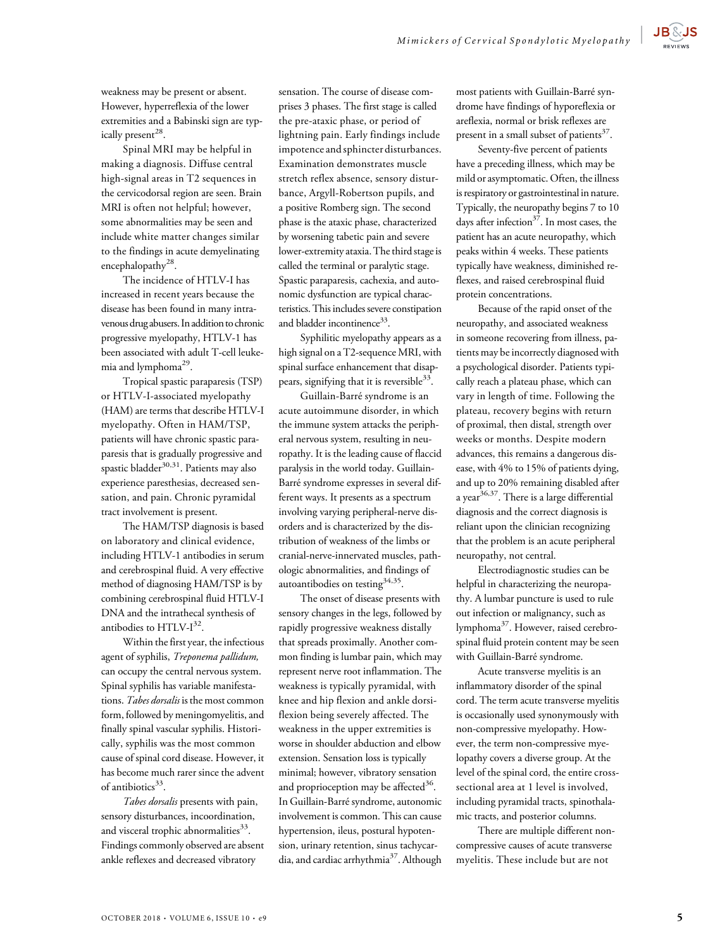weakness may be present or absent. However, hyperreflexia of the lower extremities and a Babinski sign are typically present $^{28}$ .

Spinal MRI may be helpful in making a diagnosis. Diffuse central high-signal areas in T2 sequences in the cervicodorsal region are seen. Brain MRI is often not helpful; however, some abnormalities may be seen and include white matter changes similar to the findings in acute demyelinating encephalopathy $^{28}$ .

The incidence of HTLV-I has increased in recent years because the disease has been found in many intravenous drug abusers. In addition to chronic progressive myelopathy, HTLV-1 has been associated with adult T-cell leukemia and lymphoma<sup>29</sup>.

Tropical spastic paraparesis (TSP) or HTLV-I-associated myelopathy (HAM) are terms that describe HTLV-I myelopathy. Often in HAM/TSP, patients will have chronic spastic paraparesis that is gradually progressive and spastic bladder<sup>30,31</sup>. Patients may also experience paresthesias, decreased sensation, and pain. Chronic pyramidal tract involvement is present.

The HAM/TSP diagnosis is based on laboratory and clinical evidence, including HTLV-1 antibodies in serum and cerebrospinal fluid. A very effective method of diagnosing HAM/TSP is by combining cerebrospinal fluid HTLV-I DNA and the intrathecal synthesis of antibodies to HTLV-I<sup>32</sup>.

Within the first year, the infectious agent of syphilis, Treponema pallidum, can occupy the central nervous system. Spinal syphilis has variable manifestations. Tabes dorsalis is the most common form, followed by meningomyelitis, and finally spinal vascular syphilis. Historically, syphilis was the most common cause of spinal cord disease. However, it has become much rarer since the advent of antibiotics<sup>33</sup>.

Tabes dorsalis presents with pain, sensory disturbances, incoordination, and visceral trophic abnormalities<sup>33</sup>. Findings commonly observed are absent ankle reflexes and decreased vibratory

sensation. The course of disease comprises 3 phases. The first stage is called the pre-ataxic phase, or period of lightning pain. Early findings include impotence and sphincter disturbances. Examination demonstrates muscle stretch reflex absence, sensory disturbance, Argyll-Robertson pupils, and a positive Romberg sign. The second phase is the ataxic phase, characterized by worsening tabetic pain and severe lower-extremity ataxia. The third stage is called the terminal or paralytic stage. Spastic paraparesis, cachexia, and autonomic dysfunction are typical characteristics. This includes severe constipation and bladder incontinence<sup>33</sup>.

Syphilitic myelopathy appears as a high signal on a T2-sequence MRI, with spinal surface enhancement that disappears, signifying that it is reversible  $33$ .

Guillain-Barré syndrome is an acute autoimmune disorder, in which the immune system attacks the peripheral nervous system, resulting in neuropathy. It is the leading cause of flaccid paralysis in the world today. Guillain-Barré syndrome expresses in several different ways. It presents as a spectrum involving varying peripheral-nerve disorders and is characterized by the distribution of weakness of the limbs or cranial-nerve-innervated muscles, pathologic abnormalities, and findings of autoantibodies on testing<sup>34,35</sup>.

The onset of disease presents with sensory changes in the legs, followed by rapidly progressive weakness distally that spreads proximally. Another common finding is lumbar pain, which may represent nerve root inflammation. The weakness is typically pyramidal, with knee and hip flexion and ankle dorsiflexion being severely affected. The weakness in the upper extremities is worse in shoulder abduction and elbow extension. Sensation loss is typically minimal; however, vibratory sensation and proprioception may be affected $36$ . In Guillain-Barré syndrome, autonomic involvement is common. This can cause hypertension, ileus, postural hypotension, urinary retention, sinus tachycardia, and cardiac arrhythmia<sup>37</sup>. Although

most patients with Guillain-Barré syndrome have findings of hyporeflexia or areflexia, normal or brisk reflexes are present in a small subset of patients $37$ .

**JB&JS** 

Seventy-five percent of patients have a preceding illness, which may be mild or asymptomatic. Often, the illness is respiratory or gastrointestinal in nature. Typically, the neuropathy begins 7 to 10 days after infection $37$ . In most cases, the patient has an acute neuropathy, which peaks within 4 weeks. These patients typically have weakness, diminished reflexes, and raised cerebrospinal fluid protein concentrations.

Because of the rapid onset of the neuropathy, and associated weakness in someone recovering from illness, patients may be incorrectly diagnosed with a psychological disorder. Patients typically reach a plateau phase, which can vary in length of time. Following the plateau, recovery begins with return of proximal, then distal, strength over weeks or months. Despite modern advances, this remains a dangerous disease, with 4% to 15% of patients dying, and up to 20% remaining disabled after a year $36,37$ . There is a large differential diagnosis and the correct diagnosis is reliant upon the clinician recognizing that the problem is an acute peripheral neuropathy, not central.

Electrodiagnostic studies can be helpful in characterizing the neuropathy. A lumbar puncture is used to rule out infection or malignancy, such as lymphoma<sup>37</sup>. However, raised cerebrospinal fluid protein content may be seen with Guillain-Barré syndrome.

Acute transverse myelitis is an inflammatory disorder of the spinal cord. The term acute transverse myelitis is occasionally used synonymously with non-compressive myelopathy. However, the term non-compressive myelopathy covers a diverse group. At the level of the spinal cord, the entire crosssectional area at 1 level is involved, including pyramidal tracts, spinothalamic tracts, and posterior columns.

There are multiple different noncompressive causes of acute transverse myelitis. These include but are not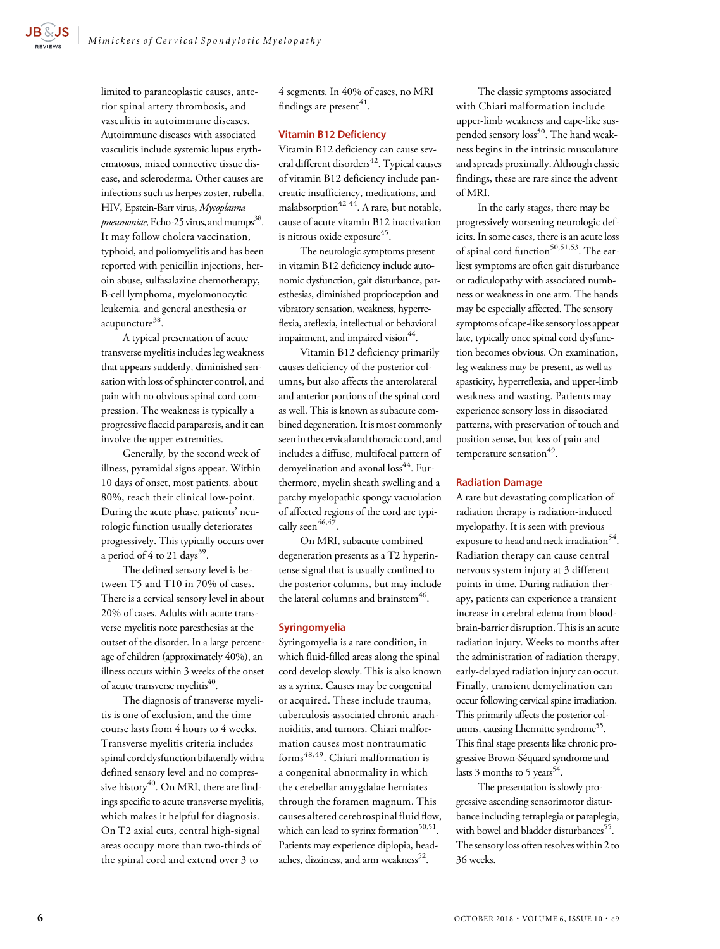

limited to paraneoplastic causes, anterior spinal artery thrombosis, and vasculitis in autoimmune diseases. Autoimmune diseases with associated vasculitis include systemic lupus erythematosus, mixed connective tissue disease, and scleroderma. Other causes are infections such as herpes zoster, rubella, HIV, Epstein-Barr virus, Mycoplasma pneumoniae, Echo-25 virus, and mumps<sup>38</sup>. It may follow cholera vaccination, typhoid, and poliomyelitis and has been reported with penicillin injections, heroin abuse, sulfasalazine chemotherapy, B-cell lymphoma, myelomonocytic leukemia, and general anesthesia or acupuncture<sup>38</sup>.

A typical presentation of acute transverse myelitis includes leg weakness that appears suddenly, diminished sensation with loss of sphincter control, and pain with no obvious spinal cord compression. The weakness is typically a progressive flaccid paraparesis, and it can involve the upper extremities.

Generally, by the second week of illness, pyramidal signs appear. Within 10 days of onset, most patients, about 80%, reach their clinical low-point. During the acute phase, patients' neurologic function usually deteriorates progressively. This typically occurs over a period of 4 to 21 days<sup>39</sup>.

The defined sensory level is between T5 and T10 in 70% of cases. There is a cervical sensory level in about 20% of cases. Adults with acute transverse myelitis note paresthesias at the outset of the disorder. In a large percentage of children (approximately 40%), an illness occurs within 3 weeks of the onset of acute transverse myelitis<sup>40</sup>.

The diagnosis of transverse myelitis is one of exclusion, and the time course lasts from 4 hours to 4 weeks. Transverse myelitis criteria includes spinal cord dysfunction bilaterally with a defined sensory level and no compressive history<sup>40</sup>. On MRI, there are findings specific to acute transverse myelitis, which makes it helpful for diagnosis. On T2 axial cuts, central high-signal areas occupy more than two-thirds of the spinal cord and extend over 3 to

4 segments. In 40% of cases, no MRI findings are present $41$ .

# Vitamin B12 Deficiency

Vitamin B12 deficiency can cause several different disorders<sup>42</sup>. Typical causes of vitamin B12 deficiency include pancreatic insufficiency, medications, and malabsorption<sup>42-44</sup>. A rare, but notable, cause of acute vitamin B12 inactivation is nitrous oxide exposure $45$ .

The neurologic symptoms present in vitamin B12 deficiency include autonomic dysfunction, gait disturbance, paresthesias, diminished proprioception and vibratory sensation, weakness, hyperreflexia, areflexia, intellectual or behavioral impairment, and impaired vision<sup>44</sup>.

Vitamin B12 deficiency primarily causes deficiency of the posterior columns, but also affects the anterolateral and anterior portions of the spinal cord as well. This is known as subacute combined degeneration. It is most commonly seen in the cervical and thoracic cord, and includes a diffuse, multifocal pattern of demyelination and axonal loss<sup>44</sup>. Furthermore, myelin sheath swelling and a patchy myelopathic spongy vacuolation of affected regions of the cord are typically seen $46,47$ .

On MRI, subacute combined degeneration presents as a T2 hyperintense signal that is usually confined to the posterior columns, but may include the lateral columns and brainstem $^{46}$ .

# Syringomyelia

Syringomyelia is a rare condition, in which fluid-filled areas along the spinal cord develop slowly. This is also known as a syrinx. Causes may be congenital or acquired. These include trauma, tuberculosis-associated chronic arachnoiditis, and tumors. Chiari malformation causes most nontraumatic forms48,49. Chiari malformation is a congenital abnormality in which the cerebellar amygdalae herniates through the foramen magnum. This causes altered cerebrospinal fluid flow, which can lead to syrinx formation $50,51$ . Patients may experience diplopia, headaches, dizziness, and arm weakness<sup>52</sup>.

The classic symptoms associated with Chiari malformation include upper-limb weakness and cape-like suspended sensory loss<sup>50</sup>. The hand weakness begins in the intrinsic musculature and spreads proximally. Although classic findings, these are rare since the advent of MRI.

In the early stages, there may be progressively worsening neurologic deficits. In some cases, there is an acute loss of spinal cord function<sup>50,51,53</sup>. The earliest symptoms are often gait disturbance or radiculopathy with associated numbness or weakness in one arm. The hands may be especially affected. The sensory symptoms of cape-like sensoryloss appear late, typically once spinal cord dysfunction becomes obvious. On examination, leg weakness may be present, as well as spasticity, hyperreflexia, and upper-limb weakness and wasting. Patients may experience sensory loss in dissociated patterns, with preservation of touch and position sense, but loss of pain and temperature sensation<sup>49</sup>.

#### Radiation Damage

A rare but devastating complication of radiation therapy is radiation-induced myelopathy. It is seen with previous exposure to head and neck irradiation<sup>54</sup>. Radiation therapy can cause central nervous system injury at 3 different points in time. During radiation therapy, patients can experience a transient increase in cerebral edema from bloodbrain-barrier disruption. This is an acute radiation injury. Weeks to months after the administration of radiation therapy, early-delayed radiation injury can occur. Finally, transient demyelination can occur following cervical spine irradiation. This primarily affects the posterior columns, causing Lhermitte syndrome<sup>55</sup>. This final stage presents like chronic progressive Brown-Séquard syndrome and lasts 3 months to 5 years<sup>54</sup>.

The presentation is slowly progressive ascending sensorimotor disturbance including tetraplegia or paraplegia, with bowel and bladder disturbances<sup>55</sup>. The sensory loss often resolves within 2 to 36 weeks.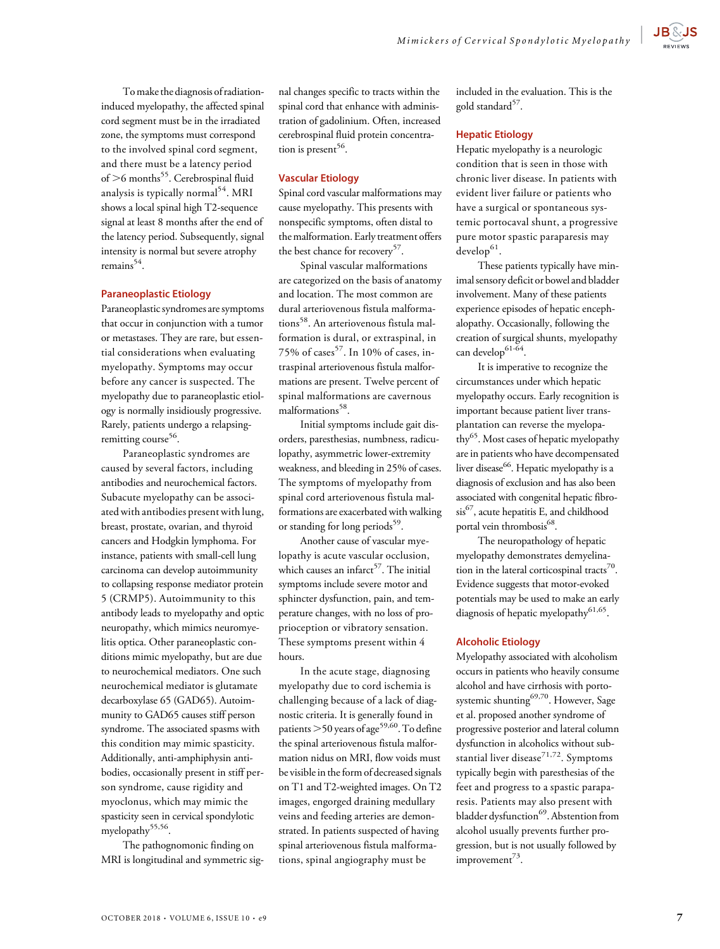Mimickers of Cervical Spondylotic Myelopathy |



Tomake the diagnosis of radiationinduced myelopathy, the affected spinal cord segment must be in the irradiated zone, the symptoms must correspond to the involved spinal cord segment, and there must be a latency period of  $>$ 6 months<sup>55</sup>. Cerebrospinal fluid analysis is typically normal $<sup>54</sup>$ . MRI</sup> shows a local spinal high T2-sequence signal at least 8 months after the end of the latency period. Subsequently, signal intensity is normal but severe atrophy remains<sup>54</sup>.

# Paraneoplastic Etiology

Paraneoplastic syndromes are symptoms that occur in conjunction with a tumor or metastases. They are rare, but essential considerations when evaluating myelopathy. Symptoms may occur before any cancer is suspected. The myelopathy due to paraneoplastic etiology is normally insidiously progressive. Rarely, patients undergo a relapsingremitting course<sup>56</sup>.

Paraneoplastic syndromes are caused by several factors, including antibodies and neurochemical factors. Subacute myelopathy can be associated with antibodies present with lung, breast, prostate, ovarian, and thyroid cancers and Hodgkin lymphoma. For instance, patients with small-cell lung carcinoma can develop autoimmunity to collapsing response mediator protein 5 (CRMP5). Autoimmunity to this antibody leads to myelopathy and optic neuropathy, which mimics neuromyelitis optica. Other paraneoplastic conditions mimic myelopathy, but are due to neurochemical mediators. One such neurochemical mediator is glutamate decarboxylase 65 (GAD65). Autoimmunity to GAD65 causes stiff person syndrome. The associated spasms with this condition may mimic spasticity. Additionally, anti-amphiphysin antibodies, occasionally present in stiff person syndrome, cause rigidity and myoclonus, which may mimic the spasticity seen in cervical spondylotic myelopathy<sup>55,56</sup>.

The pathognomonic finding on MRI is longitudinal and symmetric sig-

nal changes specific to tracts within the spinal cord that enhance with administration of gadolinium. Often, increased cerebrospinal fluid protein concentration is present $56$ .

# Vascular Etiology

Spinal cord vascular malformations may cause myelopathy. This presents with nonspecific symptoms, often distal to the malformation. Early treatment offers the best chance for recovery<sup>57</sup>.

Spinal vascular malformations are categorized on the basis of anatomy and location. The most common are dural arteriovenous fistula malformations<sup>58</sup>. An arteriovenous fistula malformation is dural, or extraspinal, in 75% of cases<sup>57</sup>. In 10% of cases, intraspinal arteriovenous fistula malformations are present. Twelve percent of spinal malformations are cavernous malformations<sup>58</sup>.

Initial symptoms include gait disorders, paresthesias, numbness, radiculopathy, asymmetric lower-extremity weakness, and bleeding in 25% of cases. The symptoms of myelopathy from spinal cord arteriovenous fistula malformations are exacerbated with walking or standing for long periods<sup>59</sup>.

Another cause of vascular myelopathy is acute vascular occlusion, which causes an infarct<sup>57</sup>. The initial symptoms include severe motor and sphincter dysfunction, pain, and temperature changes, with no loss of proprioception or vibratory sensation. These symptoms present within 4 hours.

In the acute stage, diagnosing myelopathy due to cord ischemia is challenging because of a lack of diagnostic criteria. It is generally found in patients  $>$  50 years of age<sup>59,60</sup>. To define the spinal arteriovenous fistula malformation nidus on MRI, flow voids must be visible in the form of decreased signals on T1 and T2-weighted images. On T2 images, engorged draining medullary veins and feeding arteries are demonstrated. In patients suspected of having spinal arteriovenous fistula malformations, spinal angiography must be

included in the evaluation. This is the gold standard<sup>57</sup>.

## Hepatic Etiology

Hepatic myelopathy is a neurologic condition that is seen in those with chronic liver disease. In patients with evident liver failure or patients who have a surgical or spontaneous systemic portocaval shunt, a progressive pure motor spastic paraparesis may  $develop<sup>61</sup>$ .

These patients typically have minimal sensory deficit or bowel and bladder involvement. Many of these patients experience episodes of hepatic encephalopathy. Occasionally, following the creation of surgical shunts, myelopathy can develop<sup>61-64</sup>.

It is imperative to recognize the circumstances under which hepatic myelopathy occurs. Early recognition is important because patient liver transplantation can reverse the myelopathy65. Most cases of hepatic myelopathy are in patients who have decompensated liver disease<sup>66</sup>. Hepatic myelopathy is a diagnosis of exclusion and has also been associated with congenital hepatic fibrosis<sup>67</sup>, acute hepatitis E, and childhood portal vein thrombosis<sup>68</sup>.

The neuropathology of hepatic myelopathy demonstrates demyelination in the lateral corticospinal tracts<sup>70</sup>. Evidence suggests that motor-evoked potentials may be used to make an early diagnosis of hepatic myelopathy $^{61,65}$ .

#### Alcoholic Etiology

Myelopathy associated with alcoholism occurs in patients who heavily consume alcohol and have cirrhosis with portosystemic shunting<sup>69,70</sup>. However, Sage et al. proposed another syndrome of progressive posterior and lateral column dysfunction in alcoholics without substantial liver disease<sup>71,72</sup>. Symptoms typically begin with paresthesias of the feet and progress to a spastic paraparesis. Patients may also present with bladder dysfunction<sup>69</sup>. Abstention from alcohol usually prevents further progression, but is not usually followed by improvement $^{73}$ .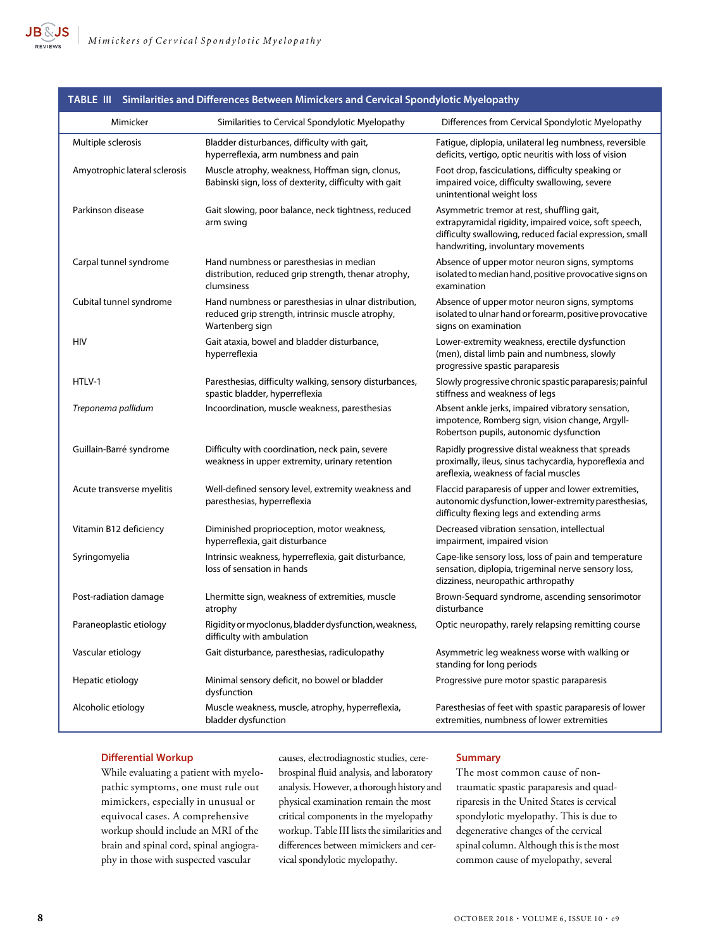

| TABLE III Similarities and Differences Between Mimickers and Cervical Spondylotic Myelopathy |                                                                                                                             |                                                                                                                                                                                                      |  |
|----------------------------------------------------------------------------------------------|-----------------------------------------------------------------------------------------------------------------------------|------------------------------------------------------------------------------------------------------------------------------------------------------------------------------------------------------|--|
| Mimicker                                                                                     | Similarities to Cervical Spondylotic Myelopathy                                                                             | Differences from Cervical Spondylotic Myelopathy                                                                                                                                                     |  |
| Multiple sclerosis                                                                           | Bladder disturbances, difficulty with gait,<br>hyperreflexia, arm numbness and pain                                         | Fatigue, diplopia, unilateral leg numbness, reversible<br>deficits, vertigo, optic neuritis with loss of vision                                                                                      |  |
| Amyotrophic lateral sclerosis                                                                | Muscle atrophy, weakness, Hoffman sign, clonus,<br>Babinski sign, loss of dexterity, difficulty with gait                   | Foot drop, fasciculations, difficulty speaking or<br>impaired voice, difficulty swallowing, severe<br>unintentional weight loss                                                                      |  |
| Parkinson disease                                                                            | Gait slowing, poor balance, neck tightness, reduced<br>arm swing                                                            | Asymmetric tremor at rest, shuffling gait,<br>extrapyramidal rigidity, impaired voice, soft speech,<br>difficulty swallowing, reduced facial expression, small<br>handwriting, involuntary movements |  |
| Carpal tunnel syndrome                                                                       | Hand numbness or paresthesias in median<br>distribution, reduced grip strength, thenar atrophy,<br>clumsiness               | Absence of upper motor neuron signs, symptoms<br>isolated to median hand, positive provocative signs on<br>examination                                                                               |  |
| Cubital tunnel syndrome                                                                      | Hand numbness or paresthesias in ulnar distribution,<br>reduced grip strength, intrinsic muscle atrophy,<br>Wartenberg sign | Absence of upper motor neuron signs, symptoms<br>isolated to ulnar hand or forearm, positive provocative<br>signs on examination                                                                     |  |
| <b>HIV</b>                                                                                   | Gait ataxia, bowel and bladder disturbance,<br>hyperreflexia                                                                | Lower-extremity weakness, erectile dysfunction<br>(men), distal limb pain and numbness, slowly<br>progressive spastic paraparesis                                                                    |  |
| HTLV-1                                                                                       | Paresthesias, difficulty walking, sensory disturbances,<br>spastic bladder, hyperreflexia                                   | Slowly progressive chronic spastic paraparesis; painful<br>stiffness and weakness of legs                                                                                                            |  |
| Treponema pallidum                                                                           | Incoordination, muscle weakness, paresthesias                                                                               | Absent ankle jerks, impaired vibratory sensation,<br>impotence, Romberg sign, vision change, Argyll-<br>Robertson pupils, autonomic dysfunction                                                      |  |
| Guillain-Barré syndrome                                                                      | Difficulty with coordination, neck pain, severe<br>weakness in upper extremity, urinary retention                           | Rapidly progressive distal weakness that spreads<br>proximally, ileus, sinus tachycardia, hyporeflexia and<br>areflexia, weakness of facial muscles                                                  |  |
| Acute transverse myelitis                                                                    | Well-defined sensory level, extremity weakness and<br>paresthesias, hyperreflexia                                           | Flaccid paraparesis of upper and lower extremities,<br>autonomic dysfunction, lower-extremity paresthesias,<br>difficulty flexing legs and extending arms                                            |  |
| Vitamin B12 deficiency                                                                       | Diminished proprioception, motor weakness,<br>hyperreflexia, gait disturbance                                               | Decreased vibration sensation, intellectual<br>impairment, impaired vision                                                                                                                           |  |
| Syringomyelia                                                                                | Intrinsic weakness, hyperreflexia, gait disturbance,<br>loss of sensation in hands                                          | Cape-like sensory loss, loss of pain and temperature<br>sensation, diplopia, trigeminal nerve sensory loss,<br>dizziness, neuropathic arthropathy                                                    |  |
| Post-radiation damage                                                                        | Lhermitte sign, weakness of extremities, muscle<br>atrophy                                                                  | Brown-Sequard syndrome, ascending sensorimotor<br>disturbance                                                                                                                                        |  |
| Paraneoplastic etiology                                                                      | Rigidity or myoclonus, bladder dysfunction, weakness,<br>difficulty with ambulation                                         | Optic neuropathy, rarely relapsing remitting course                                                                                                                                                  |  |
| Vascular etiology                                                                            | Gait disturbance, paresthesias, radiculopathy                                                                               | Asymmetric leg weakness worse with walking or<br>standing for long periods                                                                                                                           |  |
| Hepatic etiology                                                                             | Minimal sensory deficit, no bowel or bladder<br>dysfunction                                                                 | Progressive pure motor spastic paraparesis                                                                                                                                                           |  |
| Alcoholic etiology                                                                           | Muscle weakness, muscle, atrophy, hyperreflexia,<br>bladder dvsfunction                                                     | Paresthesias of feet with spastic paraparesis of lower<br>extremities, numbness of lower extremities                                                                                                 |  |

# Differential Workup

While evaluating a patient with myelopathic symptoms, one must rule out mimickers, especially in unusual or equivocal cases. A comprehensive workup should include an MRI of the brain and spinal cord, spinal angiography in those with suspected vascular

causes, electrodiagnostic studies, cerebrospinal fluid analysis, and laboratory analysis.However, a thorough history and physical examination remain the most critical components in the myelopathy workup. Table III lists the similarities and differences between mimickers and cervical spondylotic myelopathy.

#### **Summary**

The most common cause of nontraumatic spastic paraparesis and quadriparesis in the United States is cervical spondylotic myelopathy. This is due to degenerative changes of the cervical spinal column. Although this is the most common cause of myelopathy, several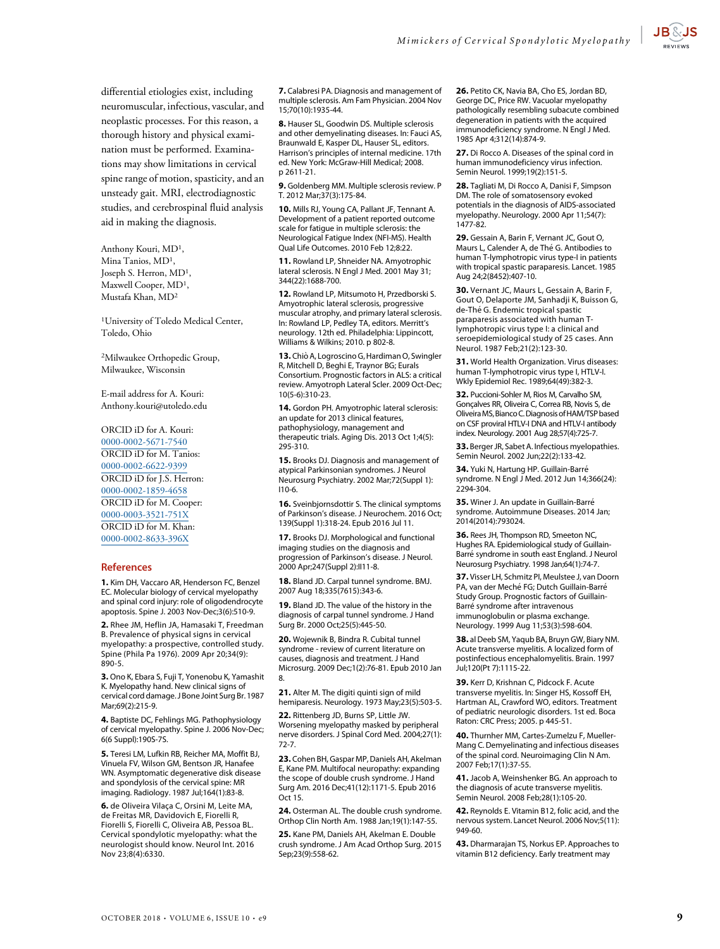

differential etiologies exist, including neuromuscular, infectious, vascular, and neoplastic processes. For this reason, a thorough history and physical examination must be performed. Examinations may show limitations in cervical spine range of motion, spasticity, and an unsteady gait. MRI, electrodiagnostic studies, and cerebrospinal fluid analysis aid in making the diagnosis.

Anthony Kouri, MD1, Mina Tanios, MD1, Joseph S. Herron, MD<sup>1</sup>, Maxwell Cooper, MD1, Mustafa Khan, MD2

1University of Toledo Medical Center, Toledo, Ohio

2Milwaukee Orthopedic Group, Milwaukee, Wisconsin

E-mail address for A. Kouri: [Anthony.kouri@utoledo.edu](mailto:Anthony.kouri@utoledo.edu)

ORCID iD for A. Kouri: [0000-0002-5671-7540](http://orcid.org/0000-0002-5671-7540) ORCID iD for M. Tanios: [0000-0002-6622-9399](http://orcid.org/0000-0002-6622-9399) ORCID iD for J.S. Herron: [0000-0002-1859-4658](http://orcid.org/0000-0002-1859-4658) ORCID iD for M. Cooper: [0000-0003-3521-751X](http://orcid.org/0000-0003-3521-751X) ORCID iD for M. Khan: [0000-0002-8633-396X](http://orcid.org/0000-0002-8633-396X)

#### **References**

1. Kim DH, Vaccaro AR, Henderson FC, Benzel EC. Molecular biology of cervical myelopathy and spinal cord injury: role of oligodendrocyte apoptosis. Spine J. 2003 Nov-Dec;3(6):510-9.

2. Rhee JM, Heflin JA, Hamasaki T, Freedman B. Prevalence of physical signs in cervical myelopathy: a prospective, controlled study. Spine (Phila Pa 1976). 2009 Apr 20;34(9): 890-5.

3. Ono K, Ebara S, Fuji T, Yonenobu K, Yamashit K. Myelopathy hand. New clinical signs of cervical cord damage. J Bone Joint Surg Br. 1987 Mar;69(2):215-9.

4. Baptiste DC, Fehlings MG. Pathophysiology of cervical myelopathy. Spine J. 2006 Nov-Dec; 6(6 Suppl):190S-7S.

5. Teresi LM, Lufkin RB, Reicher MA, Moffit BJ, Vinuela FV, Wilson GM, Bentson JR, Hanafee WN. Asymptomatic degenerative disk disease and spondylosis of the cervical spine: MR imaging. Radiology. 1987 Jul;164(1):83-8.

6. de Oliveira Vilaça C, Orsini M, Leite MA, de Freitas MR, Davidovich E, Fiorelli R, Fiorelli S, Fiorelli C, Oliveira AB, Pessoa BL. Cervical spondylotic myelopathy: what the neurologist should know. Neurol Int. 2016 Nov 23;8(4):6330.

7. Calabresi PA. Diagnosis and management of multiple sclerosis. Am Fam Physician. 2004 Nov 15;70(10):1935-44.

8. Hauser SL, Goodwin DS. Multiple sclerosis and other demyelinating diseases. In: Fauci AS, Braunwald E, Kasper DL, Hauser SL, editors. Harrison's principles of internal medicine. 17th ed. New York: McGraw-Hill Medical; 2008. p 2611-21.

9. Goldenberg MM. Multiple sclerosis review. P T. 2012 Mar;37(3):175-84.

10. Mills RJ, Young CA, Pallant JF, Tennant A. Development of a patient reported outcome scale for fatigue in multiple sclerosis: the Neurological Fatigue Index (NFI-MS). Health Qual Life Outcomes. 2010 Feb 12;8:22.

11. Rowland LP, Shneider NA. Amyotrophic lateral sclerosis. N Engl J Med. 2001 May 31; 344(22):1688-700.

12. Rowland LP, Mitsumoto H, Przedborski S. Amyotrophic lateral sclerosis, progressive muscular atrophy, and primary lateral sclerosis. In: Rowland LP, Pedley TA, editors. Merritt's neurology. 12th ed. Philadelphia: Lippincott, Williams & Wilkins; 2010. p 802-8.

13. Chiò A, Logroscino G, Hardiman O, Swingler R, Mitchell D, Beghi E, Traynor BG; Eurals Consortium. Prognostic factors in ALS: a critical review. Amyotroph Lateral Scler. 2009 Oct-Dec; 10(5-6):310-23.

14. Gordon PH. Amyotrophic lateral sclerosis: an update for 2013 clinical features, pathophysiology, management and therapeutic trials. Aging Dis. 2013 Oct 1;4(5): 295-310.

15. Brooks DJ. Diagnosis and management of atypical Parkinsonian syndromes. J Neurol Neurosurg Psychiatry. 2002 Mar;72(Suppl 1): I10-6.

16. Sveinbjornsdottir S. The clinical symptoms of Parkinson's disease. J Neurochem. 2016 Oct; 139(Suppl 1):318-24. Epub 2016 Jul 11.

17. Brooks DJ. Morphological and functional imaging studies on the diagnosis and progression of Parkinson's disease. J Neurol. 2000 Apr;247(Suppl 2):II11-8.

18. Bland JD. Carpal tunnel syndrome. BMJ. 2007 Aug 18;335(7615):343-6.

19. Bland JD. The value of the history in the diagnosis of carpal tunnel syndrome. J Hand Surg Br. 2000 Oct;25(5):445-50.

20. Wojewnik B, Bindra R. Cubital tunnel syndrome - review of current literature on causes, diagnosis and treatment. J Hand Microsurg. 2009 Dec;1(2):76-81. Epub 2010 Jan 8.

21. Alter M. The digiti quinti sign of mild hemiparesis. Neurology. 1973 May;23(5):503-5.

22. Rittenberg JD, Burns SP, Little JW. Worsening myelopathy masked by peripheral nerve disorders. J Spinal Cord Med. 2004;27(1): 72-7.

23. Cohen BH, Gaspar MP, Daniels AH, Akelman E, Kane PM. Multifocal neuropathy: expanding the scope of double crush syndrome. J Hand Surg Am. 2016 Dec;41(12):1171-5. Epub 2016 Oct 15.

24. Osterman AL. The double crush syndrome. Orthop Clin North Am. 1988 Jan;19(1):147-55.

25. Kane PM, Daniels AH, Akelman E. Double crush syndrome. J Am Acad Orthop Surg. 2015 Sep;23(9):558-62.

26. Petito CK, Navia BA, Cho ES, Jordan BD, George DC, Price RW. Vacuolar myelopathy pathologically resembling subacute combined degeneration in patients with the acquired immunodeficiency syndrome. N Engl J Med. 1985 Apr 4;312(14):874-9.

27. Di Rocco A. Diseases of the spinal cord in human immunodeficiency virus infection. Semin Neurol. 1999;19(2):151-5.

28. Tagliati M, Di Rocco A, Danisi F, Simpson DM. The role of somatosensory evoked potentials in the diagnosis of AIDS-associated myelopathy. Neurology. 2000 Apr 11;54(7): 1477-82.

29. Gessain A, Barin F, Vernant JC, Gout O, Maurs L, Calender A, de Thé G, Antibodies to human T-lymphotropic virus type-I in patients with tropical spastic paraparesis. Lancet. 1985 Aug 24;2(8452):407-10.

30. Vernant JC, Maurs L, Gessain A, Barin F, Gout O, Delaporte JM, Sanhadji K, Buisson G, de-Thé G. Endemic tropical spastic paraparesis associated with human Tlymphotropic virus type I: a clinical and seroepidemiological study of 25 cases. Ann Neurol. 1987 Feb;21(2):123-30.

31. World Health Organization. Virus diseases: human T-lymphotropic virus type I, HTLV-I. Wkly Epidemiol Rec. 1989;64(49):382-3.

32. Puccioni-Sohler M, Rios M, Carvalho SM, Gonçalves RR, Oliveira C, Correa RB, Novis S, de Oliveira MS, Bianco C. Diagnosis of HAM/TSP based on CSF proviral HTLV-I DNA and HTLV-I antibody index. Neurology. 2001 Aug 28;57(4):725-7.

33. Berger JR, Sabet A. Infectious myelopathies. Semin Neurol. 2002 Jun;22(2):133-42.

34. Yuki N, Hartung HP. Guillain-Barré syndrome. N Engl J Med. 2012 Jun 14;366(24): 2294-304.

35. Winer J. An update in Guillain-Barré syndrome. Autoimmune Diseases. 2014 Jan; 2014(2014):793024.

36. Rees JH, Thompson RD, Smeeton NC, Hughes RA. Epidemiological study of Guillain-Barré syndrome in south east England. J Neurol Neurosurg Psychiatry. 1998 Jan;64(1):74-7.

37. Visser LH, Schmitz PI, Meulstee J, van Doorn PA, van der Meché FG; Dutch Guillain-Barré Study Group. Prognostic factors of Guillain-Barré syndrome after intravenous immunoglobulin or plasma exchange. Neurology. 1999 Aug 11;53(3):598-604.

38. al Deeb SM, Yaqub BA, Bruyn GW, Biary NM. Acute transverse myelitis. A localized form of postinfectious encephalomyelitis. Brain. 1997 Jul;120(Pt 7):1115-22.

39. Kerr D, Krishnan C, Pidcock F. Acute transverse myelitis. In: Singer HS, Kossoff EH, Hartman AL, Crawford WO, editors. Treatment of pediatric neurologic disorders. 1st ed. Boca Raton: CRC Press; 2005. p 445-51.

40. Thurnher MM, Cartes-Zumelzu F, Mueller-Mang C. Demyelinating and infectious diseases of the spinal cord. Neuroimaging Clin N Am. 2007 Feb;17(1):37-55.

41. Jacob A, Weinshenker BG. An approach to the diagnosis of acute transverse myelitis. Semin Neurol. 2008 Feb;28(1):105-20.

42. Reynolds E. Vitamin B12, folic acid, and the nervous system. Lancet Neurol. 2006 Nov;5(11): 949-60.

43. Dharmarajan TS, Norkus EP. Approaches to vitamin B12 deficiency. Early treatment may